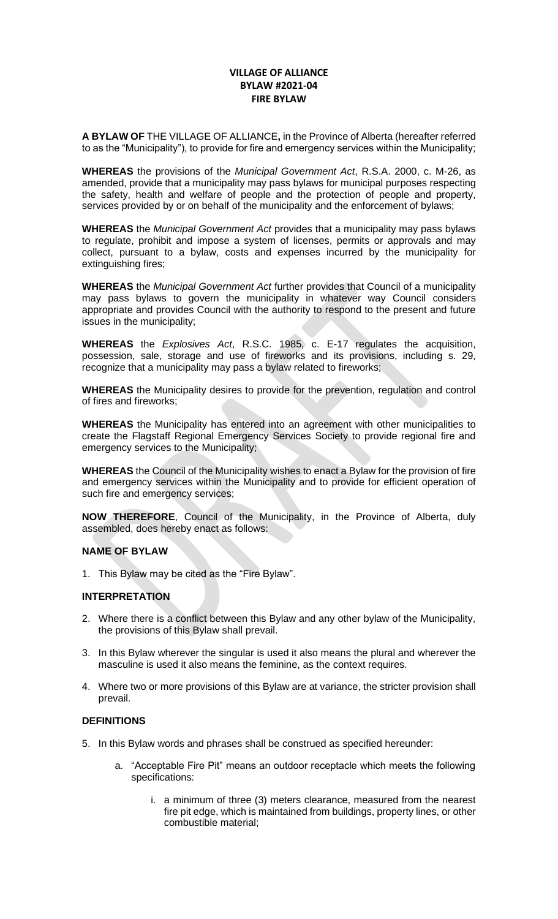# **VILLAGE OF ALLIANCE BYLAW #2021-04 FIRE BYLAW**

**A BYLAW OF** THE VILLAGE OF ALLIANCE**,** in the Province of Alberta (hereafter referred to as the "Municipality"), to provide for fire and emergency services within the Municipality;

**WHEREAS** the provisions of the *Municipal Government Act*, R.S.A. 2000, c. M-26, as amended, provide that a municipality may pass bylaws for municipal purposes respecting the safety, health and welfare of people and the protection of people and property, services provided by or on behalf of the municipality and the enforcement of bylaws;

**WHEREAS** the *Municipal Government Act* provides that a municipality may pass bylaws to regulate, prohibit and impose a system of licenses, permits or approvals and may collect, pursuant to a bylaw, costs and expenses incurred by the municipality for extinguishing fires;

**WHEREAS** the *Municipal Government Act* further provides that Council of a municipality may pass bylaws to govern the municipality in whatever way Council considers appropriate and provides Council with the authority to respond to the present and future issues in the municipality;

**WHEREAS** the *Explosives Act*, R.S.C. 1985, c. E-17 regulates the acquisition, possession, sale, storage and use of fireworks and its provisions, including s. 29, recognize that a municipality may pass a bylaw related to fireworks;

**WHEREAS** the Municipality desires to provide for the prevention, regulation and control of fires and fireworks;

**WHEREAS** the Municipality has entered into an agreement with other municipalities to create the Flagstaff Regional Emergency Services Society to provide regional fire and emergency services to the Municipality;

**WHEREAS** the Council of the Municipality wishes to enact a Bylaw for the provision of fire and emergency services within the Municipality and to provide for efficient operation of such fire and emergency services;

**NOW THEREFORE**, Council of the Municipality, in the Province of Alberta, duly assembled, does hereby enact as follows:

### **NAME OF BYLAW**

1. This Bylaw may be cited as the "Fire Bylaw".

#### **INTERPRETATION**

- 2. Where there is a conflict between this Bylaw and any other bylaw of the Municipality, the provisions of this Bylaw shall prevail.
- 3. In this Bylaw wherever the singular is used it also means the plural and wherever the masculine is used it also means the feminine, as the context requires.
- 4. Where two or more provisions of this Bylaw are at variance, the stricter provision shall prevail.

#### **DEFINITIONS**

- 5. In this Bylaw words and phrases shall be construed as specified hereunder:
	- a. "Acceptable Fire Pit" means an outdoor receptacle which meets the following specifications:
		- i. a minimum of three (3) meters clearance, measured from the nearest fire pit edge, which is maintained from buildings, property lines, or other combustible material;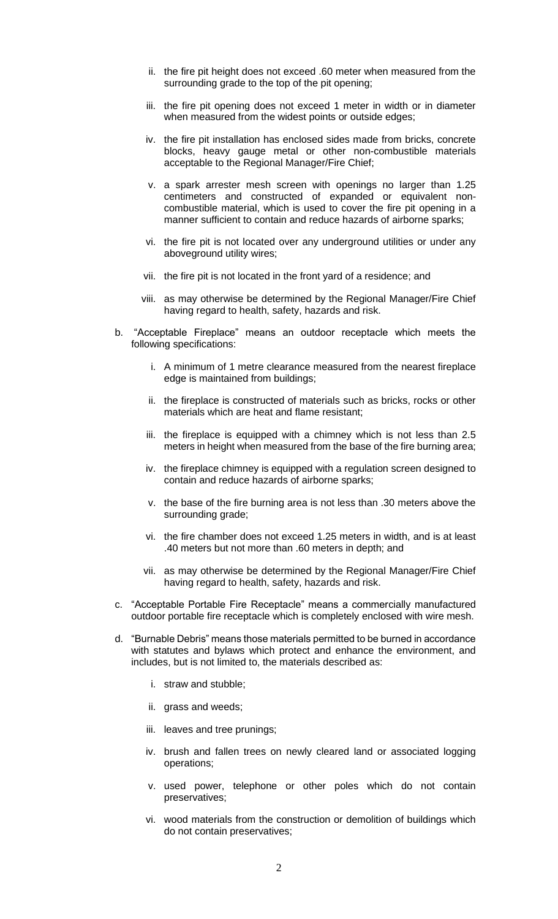- ii. the fire pit height does not exceed .60 meter when measured from the surrounding grade to the top of the pit opening;
- iii. the fire pit opening does not exceed 1 meter in width or in diameter when measured from the widest points or outside edges;
- iv. the fire pit installation has enclosed sides made from bricks, concrete blocks, heavy gauge metal or other non-combustible materials acceptable to the Regional Manager/Fire Chief;
- v. a spark arrester mesh screen with openings no larger than 1.25 centimeters and constructed of expanded or equivalent noncombustible material, which is used to cover the fire pit opening in a manner sufficient to contain and reduce hazards of airborne sparks;
- vi. the fire pit is not located over any underground utilities or under any aboveground utility wires;
- vii. the fire pit is not located in the front yard of a residence; and
- viii. as may otherwise be determined by the Regional Manager/Fire Chief having regard to health, safety, hazards and risk.
- b. "Acceptable Fireplace" means an outdoor receptacle which meets the following specifications:
	- i. A minimum of 1 metre clearance measured from the nearest fireplace edge is maintained from buildings;
	- ii. the fireplace is constructed of materials such as bricks, rocks or other materials which are heat and flame resistant;
	- iii. the fireplace is equipped with a chimney which is not less than 2.5 meters in height when measured from the base of the fire burning area;
	- iv. the fireplace chimney is equipped with a regulation screen designed to contain and reduce hazards of airborne sparks;
	- v. the base of the fire burning area is not less than .30 meters above the surrounding grade;
	- vi. the fire chamber does not exceed 1.25 meters in width, and is at least .40 meters but not more than .60 meters in depth; and
	- vii. as may otherwise be determined by the Regional Manager/Fire Chief having regard to health, safety, hazards and risk.
- c. "Acceptable Portable Fire Receptacle" means a commercially manufactured outdoor portable fire receptacle which is completely enclosed with wire mesh.
- d. "Burnable Debris" means those materials permitted to be burned in accordance with statutes and bylaws which protect and enhance the environment, and includes, but is not limited to, the materials described as:
	- i. straw and stubble;
	- ii. grass and weeds;
	- iii. leaves and tree prunings;
	- iv. brush and fallen trees on newly cleared land or associated logging operations;
	- v. used power, telephone or other poles which do not contain preservatives;
	- vi. wood materials from the construction or demolition of buildings which do not contain preservatives;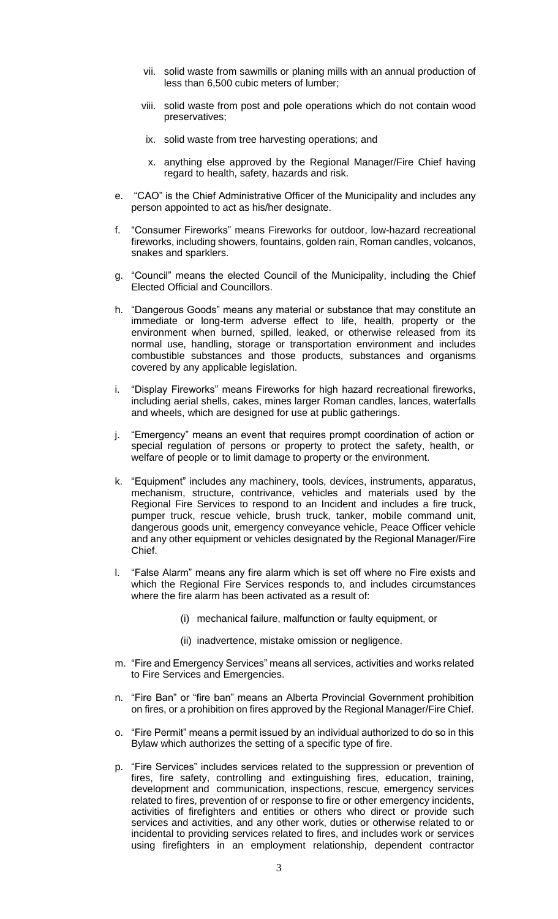- vii. solid waste from sawmills or planing mills with an annual production of less than 6,500 cubic meters of lumber;
- viii. solid waste from post and pole operations which do not contain wood preservatives;
- ix. solid waste from tree harvesting operations; and
- x. anything else approved by the Regional Manager/Fire Chief having regard to health, safety, hazards and risk.
- e. "CAO" is the Chief Administrative Officer of the Municipality and includes any person appointed to act as his/her designate.
- f. "Consumer Fireworks" means Fireworks for outdoor, low-hazard recreational fireworks, including showers, fountains, golden rain, Roman candles, volcanos, snakes and sparklers.
- g. "Council" means the elected Council of the Municipality, including the Chief Elected Official and Councillors.
- h. "Dangerous Goods" means any material or substance that may constitute an immediate or long-term adverse effect to life, health, property or the environment when burned, spilled, leaked, or otherwise released from its normal use, handling, storage or transportation environment and includes combustible substances and those products, substances and organisms covered by any applicable legislation.
- i. "Display Fireworks" means Fireworks for high hazard recreational fireworks, including aerial shells, cakes, mines larger Roman candles, lances, waterfalls and wheels, which are designed for use at public gatherings.
- j. "Emergency" means an event that requires prompt coordination of action or special regulation of persons or property to protect the safety, health, or welfare of people or to limit damage to property or the environment.
- k. "Equipment" includes any machinery, tools, devices, instruments, apparatus, mechanism, structure, contrivance, vehicles and materials used by the Regional Fire Services to respond to an Incident and includes a fire truck, pumper truck, rescue vehicle, brush truck, tanker, mobile command unit, dangerous goods unit, emergency conveyance vehicle, Peace Officer vehicle and any other equipment or vehicles designated by the Regional Manager/Fire Chief.
- l. "False Alarm" means any fire alarm which is set off where no Fire exists and which the Regional Fire Services responds to, and includes circumstances where the fire alarm has been activated as a result of:
	- (i) mechanical failure, malfunction or faulty equipment, or
	- (ii) inadvertence, mistake omission or negligence.
- m. "Fire and Emergency Services" means all services, activities and works related to Fire Services and Emergencies.
- n. "Fire Ban" or "fire ban" means an Alberta Provincial Government prohibition on fires, or a prohibition on fires approved by the Regional Manager/Fire Chief.
- o. "Fire Permit" means a permit issued by an individual authorized to do so in this Bylaw which authorizes the setting of a specific type of fire.
- p. "Fire Services" includes services related to the suppression or prevention of fires, fire safety, controlling and extinguishing fires, education, training, development and communication, inspections, rescue, emergency services related to fires, prevention of or response to fire or other emergency incidents, activities of firefighters and entities or others who direct or provide such services and activities, and any other work, duties or otherwise related to or incidental to providing services related to fires, and includes work or services using firefighters in an employment relationship, dependent contractor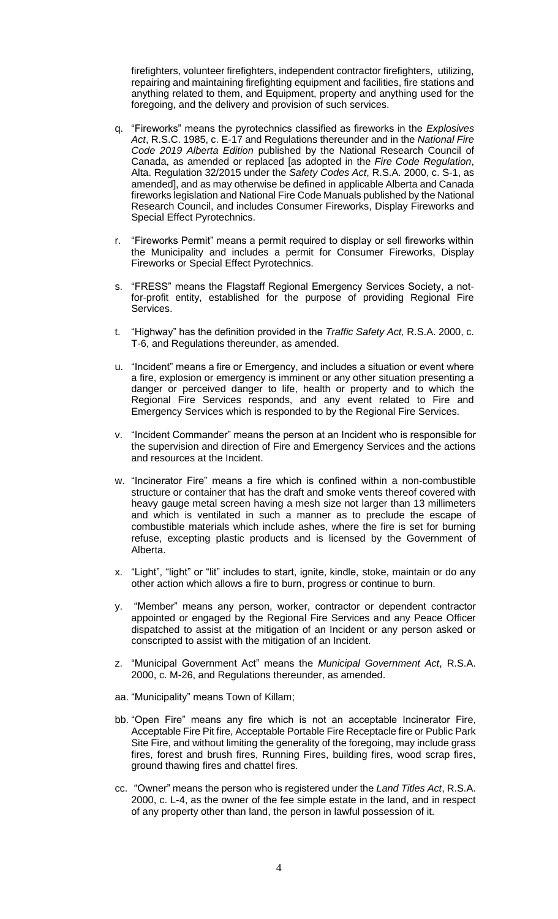firefighters, volunteer firefighters, independent contractor firefighters, utilizing, repairing and maintaining firefighting equipment and facilities, fire stations and anything related to them, and Equipment, property and anything used for the foregoing, and the delivery and provision of such services.

- q. "Fireworks" means the pyrotechnics classified as fireworks in the *Explosives Act*, R.S.C. 1985, c. E-17 and Regulations thereunder and in the *National Fire Code 2019 Alberta Edition* published by the National Research Council of Canada, as amended or replaced [as adopted in the *Fire Code Regulation*, Alta. Regulation 32/2015 under the *Safety Codes Act*, R.S.A. 2000, c. S-1, as amended], and as may otherwise be defined in applicable Alberta and Canada fireworks legislation and National Fire Code Manuals published by the National Research Council, and includes Consumer Fireworks, Display Fireworks and Special Effect Pyrotechnics.
- r. "Fireworks Permit" means a permit required to display or sell fireworks within the Municipality and includes a permit for Consumer Fireworks, Display Fireworks or Special Effect Pyrotechnics.
- s. "FRESS" means the Flagstaff Regional Emergency Services Society, a notfor-profit entity, established for the purpose of providing Regional Fire Services.
- t. "Highway" has the definition provided in the *Traffic Safety Act,* R.S.A. 2000, c. T-6, and Regulations thereunder, as amended.
- u. "Incident" means a fire or Emergency, and includes a situation or event where a fire, explosion or emergency is imminent or any other situation presenting a danger or perceived danger to life, health or property and to which the Regional Fire Services responds, and any event related to Fire and Emergency Services which is responded to by the Regional Fire Services.
- v. "Incident Commander" means the person at an Incident who is responsible for the supervision and direction of Fire and Emergency Services and the actions and resources at the Incident.
- w. "Incinerator Fire" means a fire which is confined within a non-combustible structure or container that has the draft and smoke vents thereof covered with heavy gauge metal screen having a mesh size not larger than 13 millimeters and which is ventilated in such a manner as to preclude the escape of combustible materials which include ashes, where the fire is set for burning refuse, excepting plastic products and is licensed by the Government of Alberta.
- x. "Light", "light" or "lit" includes to start, ignite, kindle, stoke, maintain or do any other action which allows a fire to burn, progress or continue to burn.
- y. "Member" means any person, worker, contractor or dependent contractor appointed or engaged by the Regional Fire Services and any Peace Officer dispatched to assist at the mitigation of an Incident or any person asked or conscripted to assist with the mitigation of an Incident.
- z. "Municipal Government Act" means the *Municipal Government Act*, R.S.A. 2000, c. M-26, and Regulations thereunder, as amended.
- aa. "Municipality" means Town of Killam;
- bb. "Open Fire" means any fire which is not an acceptable Incinerator Fire, Acceptable Fire Pit fire, Acceptable Portable Fire Receptacle fire or Public Park Site Fire, and without limiting the generality of the foregoing, may include grass fires, forest and brush fires, Running Fires, building fires, wood scrap fires, ground thawing fires and chattel fires.
- cc. "Owner" means the person who is registered under the *Land Titles Act*, R.S.A. 2000, c. L-4, as the owner of the fee simple estate in the land, and in respect of any property other than land, the person in lawful possession of it.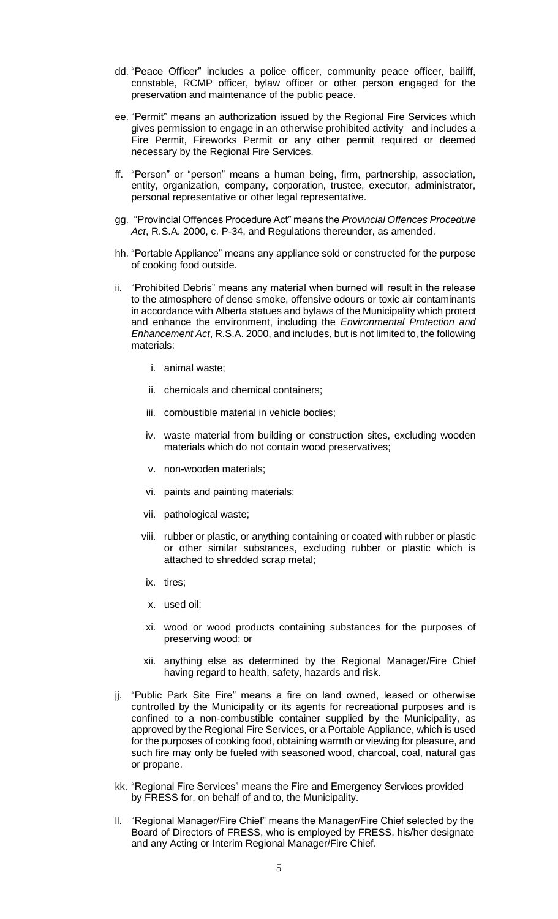- dd. "Peace Officer" includes a police officer, community peace officer, bailiff, constable, RCMP officer, bylaw officer or other person engaged for the preservation and maintenance of the public peace.
- ee. "Permit" means an authorization issued by the Regional Fire Services which gives permission to engage in an otherwise prohibited activity and includes a Fire Permit, Fireworks Permit or any other permit required or deemed necessary by the Regional Fire Services.
- ff. "Person" or "person" means a human being, firm, partnership, association, entity, organization, company, corporation, trustee, executor, administrator, personal representative or other legal representative.
- gg. "Provincial Offences Procedure Act" means the *Provincial Offences Procedure Act*, R.S.A. 2000, c. P-34, and Regulations thereunder, as amended.
- hh. "Portable Appliance" means any appliance sold or constructed for the purpose of cooking food outside.
- ii. "Prohibited Debris" means any material when burned will result in the release to the atmosphere of dense smoke, offensive odours or toxic air contaminants in accordance with Alberta statues and bylaws of the Municipality which protect and enhance the environment, including the *Environmental Protection and Enhancement Act*, R.S.A. 2000, and includes, but is not limited to, the following materials:
	- i. animal waste;
	- ii. chemicals and chemical containers;
	- iii. combustible material in vehicle bodies;
	- iv. waste material from building or construction sites, excluding wooden materials which do not contain wood preservatives;
	- v. non-wooden materials;
	- vi. paints and painting materials;
	- vii. pathological waste;
	- viii. rubber or plastic, or anything containing or coated with rubber or plastic or other similar substances, excluding rubber or plastic which is attached to shredded scrap metal;
	- ix. tires;
	- x. used oil;
	- xi. wood or wood products containing substances for the purposes of preserving wood; or
	- xii. anything else as determined by the Regional Manager/Fire Chief having regard to health, safety, hazards and risk.
- jj. "Public Park Site Fire" means a fire on land owned, leased or otherwise controlled by the Municipality or its agents for recreational purposes and is confined to a non-combustible container supplied by the Municipality, as approved by the Regional Fire Services, or a Portable Appliance, which is used for the purposes of cooking food, obtaining warmth or viewing for pleasure, and such fire may only be fueled with seasoned wood, charcoal, coal, natural gas or propane.
- kk. "Regional Fire Services" means the Fire and Emergency Services provided by FRESS for, on behalf of and to, the Municipality.
- ll. "Regional Manager/Fire Chief" means the Manager/Fire Chief selected by the Board of Directors of FRESS, who is employed by FRESS, his/her designate and any Acting or Interim Regional Manager/Fire Chief.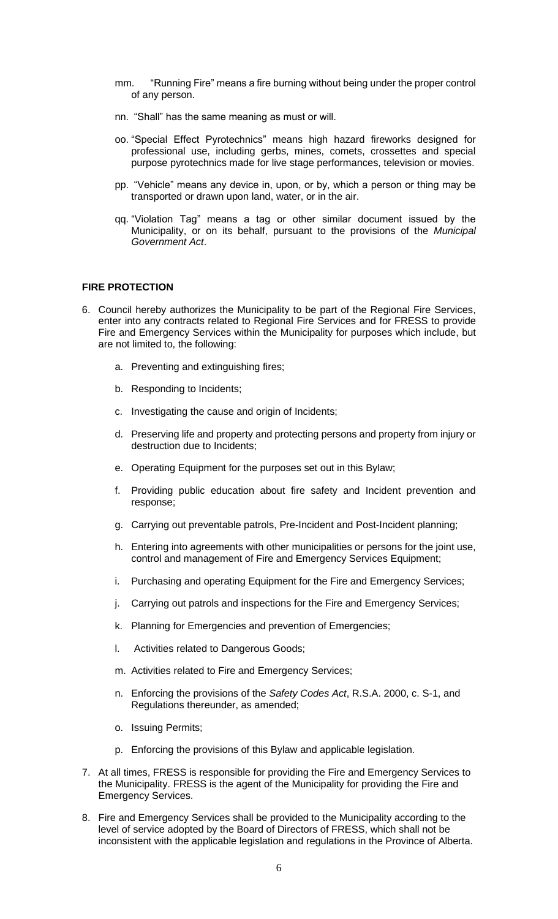- mm. "Running Fire" means a fire burning without being under the proper control of any person.
- nn. "Shall" has the same meaning as must or will.
- oo. "Special Effect Pyrotechnics" means high hazard fireworks designed for professional use, including gerbs, mines, comets, crossettes and special purpose pyrotechnics made for live stage performances, television or movies.
- pp. "Vehicle" means any device in, upon, or by, which a person or thing may be transported or drawn upon land, water, or in the air.
- qq. "Violation Tag" means a tag or other similar document issued by the Municipality, or on its behalf, pursuant to the provisions of the *Municipal Government Act*.

#### **FIRE PROTECTION**

- 6. Council hereby authorizes the Municipality to be part of the Regional Fire Services, enter into any contracts related to Regional Fire Services and for FRESS to provide Fire and Emergency Services within the Municipality for purposes which include, but are not limited to, the following:
	- a. Preventing and extinguishing fires;
	- b. Responding to Incidents;
	- c. Investigating the cause and origin of Incidents;
	- d. Preserving life and property and protecting persons and property from injury or destruction due to Incidents;
	- e. Operating Equipment for the purposes set out in this Bylaw;
	- f. Providing public education about fire safety and Incident prevention and response;
	- g. Carrying out preventable patrols, Pre-Incident and Post-Incident planning;
	- h. Entering into agreements with other municipalities or persons for the joint use, control and management of Fire and Emergency Services Equipment;
	- i. Purchasing and operating Equipment for the Fire and Emergency Services;
	- j. Carrying out patrols and inspections for the Fire and Emergency Services;
	- k. Planning for Emergencies and prevention of Emergencies;
	- l. Activities related to Dangerous Goods;
	- m. Activities related to Fire and Emergency Services;
	- n. Enforcing the provisions of the *Safety Codes Act*, R.S.A. 2000, c. S-1, and Regulations thereunder, as amended;
	- o. Issuing Permits;
	- p. Enforcing the provisions of this Bylaw and applicable legislation.
- 7. At all times, FRESS is responsible for providing the Fire and Emergency Services to the Municipality. FRESS is the agent of the Municipality for providing the Fire and Emergency Services.
- 8. Fire and Emergency Services shall be provided to the Municipality according to the level of service adopted by the Board of Directors of FRESS, which shall not be inconsistent with the applicable legislation and regulations in the Province of Alberta.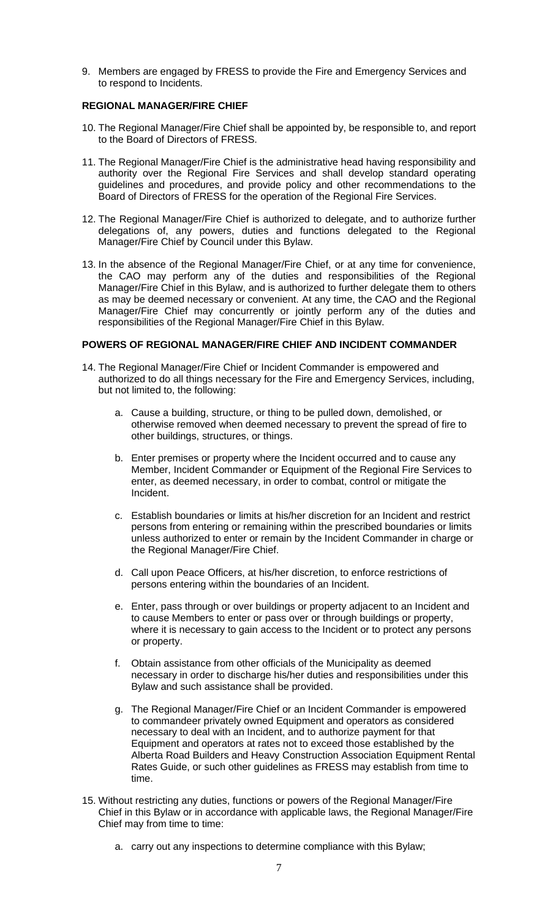9. Members are engaged by FRESS to provide the Fire and Emergency Services and to respond to Incidents.

### **REGIONAL MANAGER/FIRE CHIEF**

- 10. The Regional Manager/Fire Chief shall be appointed by, be responsible to, and report to the Board of Directors of FRESS.
- 11. The Regional Manager/Fire Chief is the administrative head having responsibility and authority over the Regional Fire Services and shall develop standard operating guidelines and procedures, and provide policy and other recommendations to the Board of Directors of FRESS for the operation of the Regional Fire Services.
- 12. The Regional Manager/Fire Chief is authorized to delegate, and to authorize further delegations of, any powers, duties and functions delegated to the Regional Manager/Fire Chief by Council under this Bylaw.
- 13. In the absence of the Regional Manager/Fire Chief, or at any time for convenience, the CAO may perform any of the duties and responsibilities of the Regional Manager/Fire Chief in this Bylaw, and is authorized to further delegate them to others as may be deemed necessary or convenient. At any time, the CAO and the Regional Manager/Fire Chief may concurrently or jointly perform any of the duties and responsibilities of the Regional Manager/Fire Chief in this Bylaw.

### **POWERS OF REGIONAL MANAGER/FIRE CHIEF AND INCIDENT COMMANDER**

- 14. The Regional Manager/Fire Chief or Incident Commander is empowered and authorized to do all things necessary for the Fire and Emergency Services, including, but not limited to, the following:
	- a. Cause a building, structure, or thing to be pulled down, demolished, or otherwise removed when deemed necessary to prevent the spread of fire to other buildings, structures, or things.
	- b. Enter premises or property where the Incident occurred and to cause any Member, Incident Commander or Equipment of the Regional Fire Services to enter, as deemed necessary, in order to combat, control or mitigate the Incident.
	- c. Establish boundaries or limits at his/her discretion for an Incident and restrict persons from entering or remaining within the prescribed boundaries or limits unless authorized to enter or remain by the Incident Commander in charge or the Regional Manager/Fire Chief.
	- d. Call upon Peace Officers, at his/her discretion, to enforce restrictions of persons entering within the boundaries of an Incident.
	- e. Enter, pass through or over buildings or property adjacent to an Incident and to cause Members to enter or pass over or through buildings or property, where it is necessary to gain access to the Incident or to protect any persons or property.
	- f. Obtain assistance from other officials of the Municipality as deemed necessary in order to discharge his/her duties and responsibilities under this Bylaw and such assistance shall be provided.
	- g. The Regional Manager/Fire Chief or an Incident Commander is empowered to commandeer privately owned Equipment and operators as considered necessary to deal with an Incident, and to authorize payment for that Equipment and operators at rates not to exceed those established by the Alberta Road Builders and Heavy Construction Association Equipment Rental Rates Guide, or such other guidelines as FRESS may establish from time to time.
- 15. Without restricting any duties, functions or powers of the Regional Manager/Fire Chief in this Bylaw or in accordance with applicable laws, the Regional Manager/Fire Chief may from time to time:
	- a. carry out any inspections to determine compliance with this Bylaw;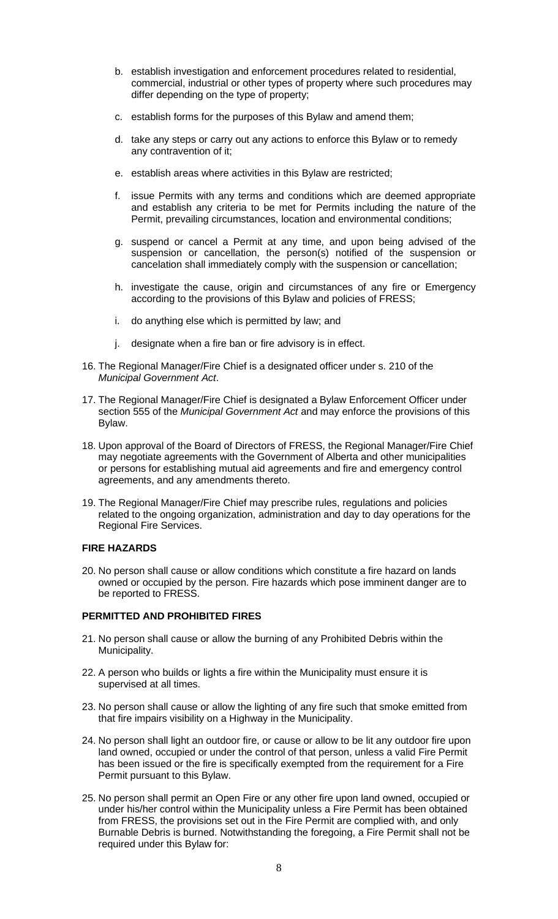- b. establish investigation and enforcement procedures related to residential, commercial, industrial or other types of property where such procedures may differ depending on the type of property;
- c. establish forms for the purposes of this Bylaw and amend them;
- d. take any steps or carry out any actions to enforce this Bylaw or to remedy any contravention of it;
- e. establish areas where activities in this Bylaw are restricted;
- f. issue Permits with any terms and conditions which are deemed appropriate and establish any criteria to be met for Permits including the nature of the Permit, prevailing circumstances, location and environmental conditions;
- g. suspend or cancel a Permit at any time, and upon being advised of the suspension or cancellation, the person(s) notified of the suspension or cancelation shall immediately comply with the suspension or cancellation;
- h. investigate the cause, origin and circumstances of any fire or Emergency according to the provisions of this Bylaw and policies of FRESS;
- i. do anything else which is permitted by law; and
- j. designate when a fire ban or fire advisory is in effect.
- 16. The Regional Manager/Fire Chief is a designated officer under s. 210 of the *Municipal Government Act*.
- 17. The Regional Manager/Fire Chief is designated a Bylaw Enforcement Officer under section 555 of the *Municipal Government Act* and may enforce the provisions of this Bylaw.
- 18. Upon approval of the Board of Directors of FRESS, the Regional Manager/Fire Chief may negotiate agreements with the Government of Alberta and other municipalities or persons for establishing mutual aid agreements and fire and emergency control agreements, and any amendments thereto.
- 19. The Regional Manager/Fire Chief may prescribe rules, regulations and policies related to the ongoing organization, administration and day to day operations for the Regional Fire Services.

### **FIRE HAZARDS**

20. No person shall cause or allow conditions which constitute a fire hazard on lands owned or occupied by the person. Fire hazards which pose imminent danger are to be reported to FRESS.

### **PERMITTED AND PROHIBITED FIRES**

- 21. No person shall cause or allow the burning of any Prohibited Debris within the Municipality.
- 22. A person who builds or lights a fire within the Municipality must ensure it is supervised at all times.
- 23. No person shall cause or allow the lighting of any fire such that smoke emitted from that fire impairs visibility on a Highway in the Municipality.
- 24. No person shall light an outdoor fire, or cause or allow to be lit any outdoor fire upon land owned, occupied or under the control of that person, unless a valid Fire Permit has been issued or the fire is specifically exempted from the requirement for a Fire Permit pursuant to this Bylaw.
- 25. No person shall permit an Open Fire or any other fire upon land owned, occupied or under his/her control within the Municipality unless a Fire Permit has been obtained from FRESS, the provisions set out in the Fire Permit are complied with, and only Burnable Debris is burned. Notwithstanding the foregoing, a Fire Permit shall not be required under this Bylaw for: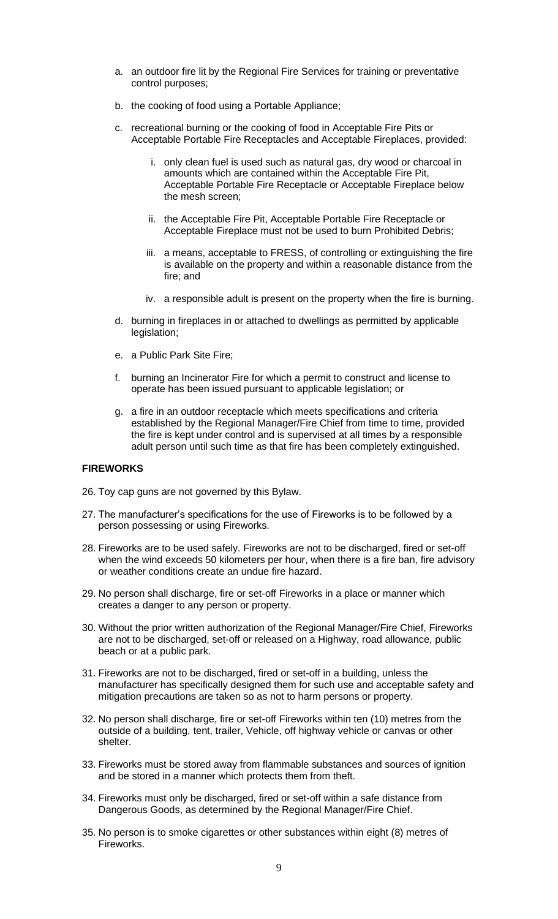- a. an outdoor fire lit by the Regional Fire Services for training or preventative control purposes;
- b. the cooking of food using a Portable Appliance;
- c. recreational burning or the cooking of food in Acceptable Fire Pits or Acceptable Portable Fire Receptacles and Acceptable Fireplaces, provided:
	- i. only clean fuel is used such as natural gas, dry wood or charcoal in amounts which are contained within the Acceptable Fire Pit, Acceptable Portable Fire Receptacle or Acceptable Fireplace below the mesh screen;
	- ii. the Acceptable Fire Pit, Acceptable Portable Fire Receptacle or Acceptable Fireplace must not be used to burn Prohibited Debris;
	- iii. a means, acceptable to FRESS, of controlling or extinguishing the fire is available on the property and within a reasonable distance from the fire; and
	- iv. a responsible adult is present on the property when the fire is burning.
- d. burning in fireplaces in or attached to dwellings as permitted by applicable legislation;
- e. a Public Park Site Fire;
- f. burning an Incinerator Fire for which a permit to construct and license to operate has been issued pursuant to applicable legislation; or
- g. a fire in an outdoor receptacle which meets specifications and criteria established by the Regional Manager/Fire Chief from time to time, provided the fire is kept under control and is supervised at all times by a responsible adult person until such time as that fire has been completely extinguished.

#### **FIREWORKS**

- 26. Toy cap guns are not governed by this Bylaw.
- 27. The manufacturer's specifications for the use of Fireworks is to be followed by a person possessing or using Fireworks.
- 28. Fireworks are to be used safely. Fireworks are not to be discharged, fired or set-off when the wind exceeds 50 kilometers per hour, when there is a fire ban, fire advisory or weather conditions create an undue fire hazard.
- 29. No person shall discharge, fire or set-off Fireworks in a place or manner which creates a danger to any person or property.
- 30. Without the prior written authorization of the Regional Manager/Fire Chief, Fireworks are not to be discharged, set-off or released on a Highway, road allowance, public beach or at a public park.
- 31. Fireworks are not to be discharged, fired or set-off in a building, unless the manufacturer has specifically designed them for such use and acceptable safety and mitigation precautions are taken so as not to harm persons or property.
- 32. No person shall discharge, fire or set-off Fireworks within ten (10) metres from the outside of a building, tent, trailer, Vehicle, off highway vehicle or canvas or other shelter.
- 33. Fireworks must be stored away from flammable substances and sources of ignition and be stored in a manner which protects them from theft.
- 34. Fireworks must only be discharged, fired or set-off within a safe distance from Dangerous Goods, as determined by the Regional Manager/Fire Chief.
- 35. No person is to smoke cigarettes or other substances within eight (8) metres of Fireworks.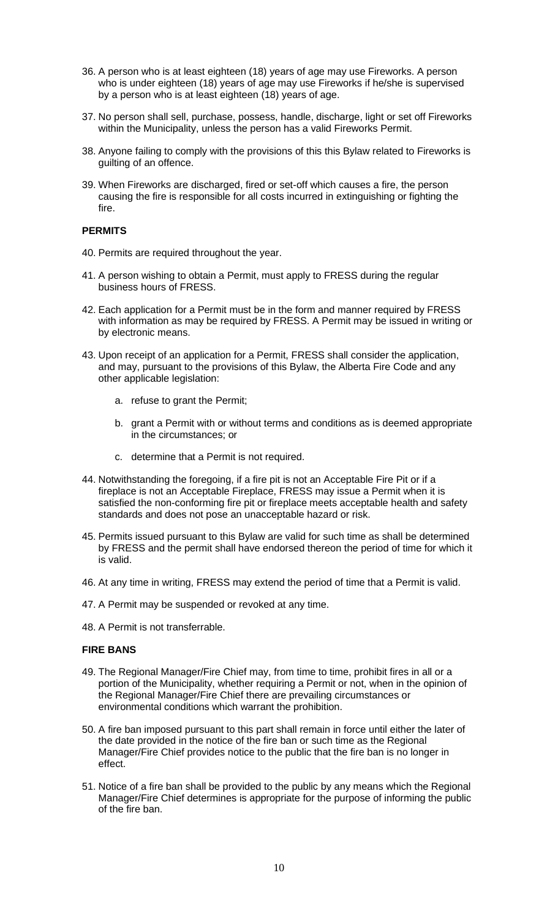- 36. A person who is at least eighteen (18) years of age may use Fireworks. A person who is under eighteen (18) years of age may use Fireworks if he/she is supervised by a person who is at least eighteen (18) years of age.
- 37. No person shall sell, purchase, possess, handle, discharge, light or set off Fireworks within the Municipality, unless the person has a valid Fireworks Permit.
- 38. Anyone failing to comply with the provisions of this this Bylaw related to Fireworks is guilting of an offence.
- 39. When Fireworks are discharged, fired or set-off which causes a fire, the person causing the fire is responsible for all costs incurred in extinguishing or fighting the fire.

### **PERMITS**

- 40. Permits are required throughout the year.
- 41. A person wishing to obtain a Permit, must apply to FRESS during the regular business hours of FRESS.
- 42. Each application for a Permit must be in the form and manner required by FRESS with information as may be required by FRESS. A Permit may be issued in writing or by electronic means.
- 43. Upon receipt of an application for a Permit, FRESS shall consider the application, and may, pursuant to the provisions of this Bylaw, the Alberta Fire Code and any other applicable legislation:
	- a. refuse to grant the Permit;
	- b. grant a Permit with or without terms and conditions as is deemed appropriate in the circumstances; or
	- c. determine that a Permit is not required.
- 44. Notwithstanding the foregoing, if a fire pit is not an Acceptable Fire Pit or if a fireplace is not an Acceptable Fireplace, FRESS may issue a Permit when it is satisfied the non-conforming fire pit or fireplace meets acceptable health and safety standards and does not pose an unacceptable hazard or risk.
- 45. Permits issued pursuant to this Bylaw are valid for such time as shall be determined by FRESS and the permit shall have endorsed thereon the period of time for which it is valid.
- 46. At any time in writing, FRESS may extend the period of time that a Permit is valid.
- 47. A Permit may be suspended or revoked at any time.
- 48. A Permit is not transferrable.

#### **FIRE BANS**

- 49. The Regional Manager/Fire Chief may, from time to time, prohibit fires in all or a portion of the Municipality, whether requiring a Permit or not, when in the opinion of the Regional Manager/Fire Chief there are prevailing circumstances or environmental conditions which warrant the prohibition.
- 50. A fire ban imposed pursuant to this part shall remain in force until either the later of the date provided in the notice of the fire ban or such time as the Regional Manager/Fire Chief provides notice to the public that the fire ban is no longer in effect.
- 51. Notice of a fire ban shall be provided to the public by any means which the Regional Manager/Fire Chief determines is appropriate for the purpose of informing the public of the fire ban.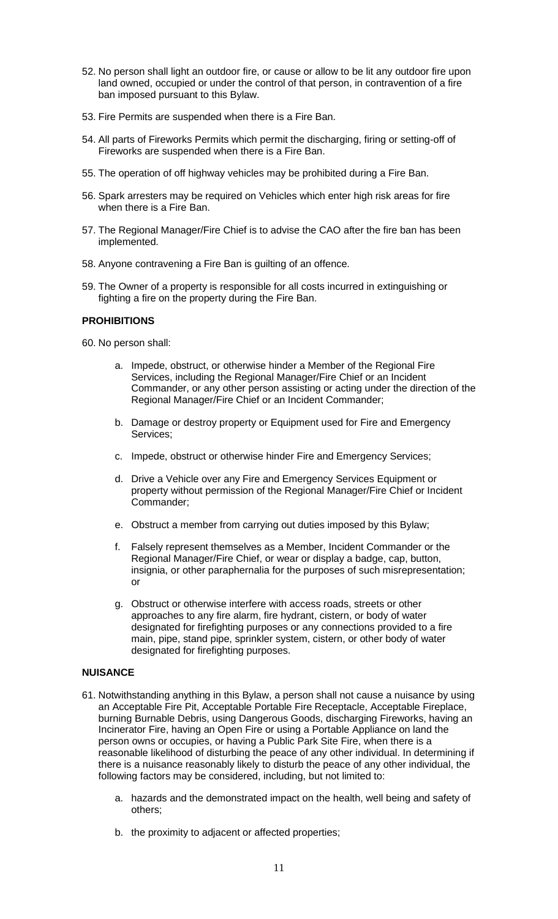- 52. No person shall light an outdoor fire, or cause or allow to be lit any outdoor fire upon land owned, occupied or under the control of that person, in contravention of a fire ban imposed pursuant to this Bylaw.
- 53. Fire Permits are suspended when there is a Fire Ban.
- 54. All parts of Fireworks Permits which permit the discharging, firing or setting-off of Fireworks are suspended when there is a Fire Ban.
- 55. The operation of off highway vehicles may be prohibited during a Fire Ban.
- 56. Spark arresters may be required on Vehicles which enter high risk areas for fire when there is a Fire Ban.
- 57. The Regional Manager/Fire Chief is to advise the CAO after the fire ban has been implemented.
- 58. Anyone contravening a Fire Ban is guilting of an offence.
- 59. The Owner of a property is responsible for all costs incurred in extinguishing or fighting a fire on the property during the Fire Ban.

### **PROHIBITIONS**

60. No person shall:

- a. Impede, obstruct, or otherwise hinder a Member of the Regional Fire Services, including the Regional Manager/Fire Chief or an Incident Commander, or any other person assisting or acting under the direction of the Regional Manager/Fire Chief or an Incident Commander;
- b. Damage or destroy property or Equipment used for Fire and Emergency Services;
- c. Impede, obstruct or otherwise hinder Fire and Emergency Services;
- d. Drive a Vehicle over any Fire and Emergency Services Equipment or property without permission of the Regional Manager/Fire Chief or Incident Commander;
- e. Obstruct a member from carrying out duties imposed by this Bylaw;
- f. Falsely represent themselves as a Member, Incident Commander or the Regional Manager/Fire Chief, or wear or display a badge, cap, button, insignia, or other paraphernalia for the purposes of such misrepresentation; or
- g. Obstruct or otherwise interfere with access roads, streets or other approaches to any fire alarm, fire hydrant, cistern, or body of water designated for firefighting purposes or any connections provided to a fire main, pipe, stand pipe, sprinkler system, cistern, or other body of water designated for firefighting purposes.

### **NUISANCE**

- 61. Notwithstanding anything in this Bylaw, a person shall not cause a nuisance by using an Acceptable Fire Pit, Acceptable Portable Fire Receptacle, Acceptable Fireplace, burning Burnable Debris, using Dangerous Goods, discharging Fireworks, having an Incinerator Fire, having an Open Fire or using a Portable Appliance on land the person owns or occupies, or having a Public Park Site Fire, when there is a reasonable likelihood of disturbing the peace of any other individual. In determining if there is a nuisance reasonably likely to disturb the peace of any other individual, the following factors may be considered, including, but not limited to:
	- a. hazards and the demonstrated impact on the health, well being and safety of others;
	- b. the proximity to adjacent or affected properties;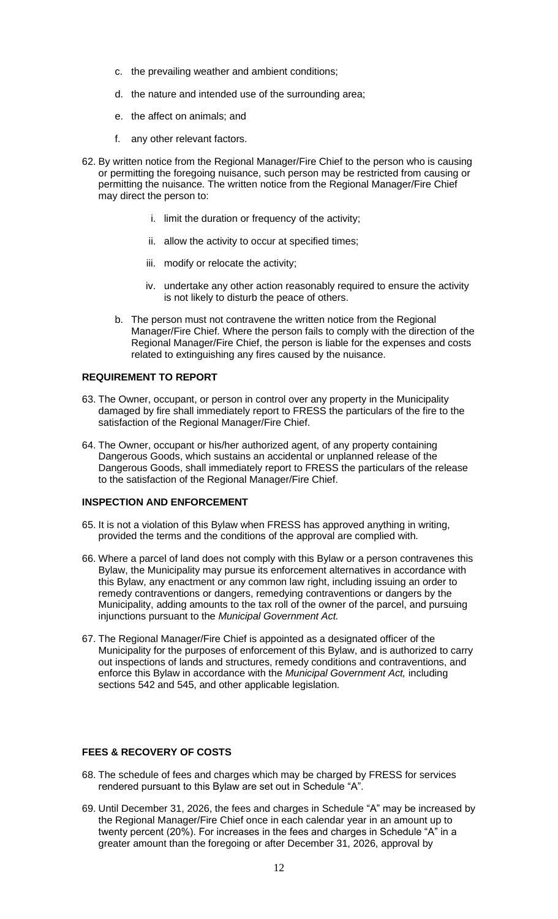- c. the prevailing weather and ambient conditions;
- d. the nature and intended use of the surrounding area;
- e. the affect on animals; and
- f. any other relevant factors.
- 62. By written notice from the Regional Manager/Fire Chief to the person who is causing or permitting the foregoing nuisance, such person may be restricted from causing or permitting the nuisance. The written notice from the Regional Manager/Fire Chief may direct the person to:
	- i. limit the duration or frequency of the activity;
	- ii. allow the activity to occur at specified times;
	- iii. modify or relocate the activity;
	- iv. undertake any other action reasonably required to ensure the activity is not likely to disturb the peace of others.
	- b. The person must not contravene the written notice from the Regional Manager/Fire Chief. Where the person fails to comply with the direction of the Regional Manager/Fire Chief, the person is liable for the expenses and costs related to extinguishing any fires caused by the nuisance.

### **REQUIREMENT TO REPORT**

- 63. The Owner, occupant, or person in control over any property in the Municipality damaged by fire shall immediately report to FRESS the particulars of the fire to the satisfaction of the Regional Manager/Fire Chief.
- 64. The Owner, occupant or his/her authorized agent, of any property containing Dangerous Goods, which sustains an accidental or unplanned release of the Dangerous Goods, shall immediately report to FRESS the particulars of the release to the satisfaction of the Regional Manager/Fire Chief.

#### **INSPECTION AND ENFORCEMENT**

- 65. It is not a violation of this Bylaw when FRESS has approved anything in writing, provided the terms and the conditions of the approval are complied with.
- 66. Where a parcel of land does not comply with this Bylaw or a person contravenes this Bylaw, the Municipality may pursue its enforcement alternatives in accordance with this Bylaw, any enactment or any common law right, including issuing an order to remedy contraventions or dangers, remedying contraventions or dangers by the Municipality, adding amounts to the tax roll of the owner of the parcel, and pursuing injunctions pursuant to the *Municipal Government Act.*
- 67. The Regional Manager/Fire Chief is appointed as a designated officer of the Municipality for the purposes of enforcement of this Bylaw, and is authorized to carry out inspections of lands and structures, remedy conditions and contraventions, and enforce this Bylaw in accordance with the *Municipal Government Act,* including sections 542 and 545, and other applicable legislation*.*

#### **FEES & RECOVERY OF COSTS**

- 68. The schedule of fees and charges which may be charged by FRESS for services rendered pursuant to this Bylaw are set out in Schedule "A".
- 69. Until December 31, 2026, the fees and charges in Schedule "A" may be increased by the Regional Manager/Fire Chief once in each calendar year in an amount up to twenty percent (20%). For increases in the fees and charges in Schedule "A" in a greater amount than the foregoing or after December 31, 2026, approval by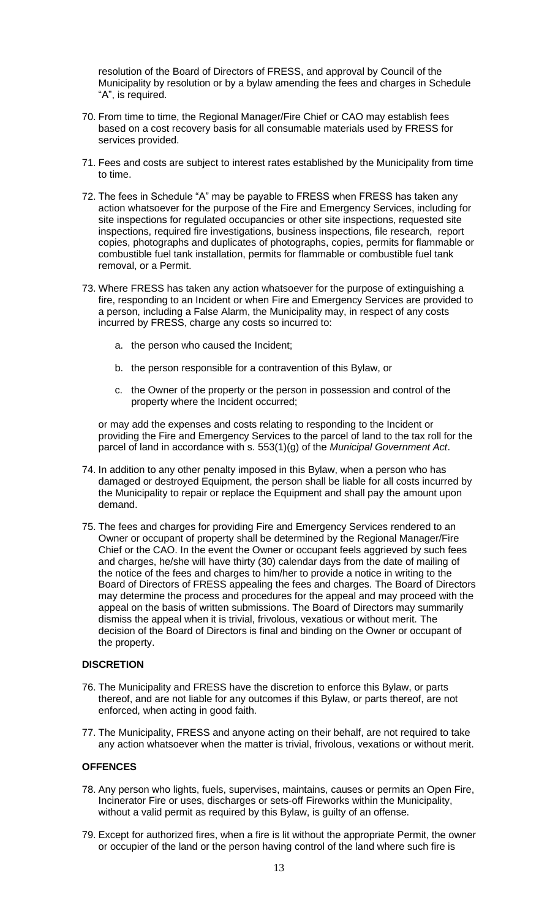resolution of the Board of Directors of FRESS, and approval by Council of the Municipality by resolution or by a bylaw amending the fees and charges in Schedule "A", is required.

- 70. From time to time, the Regional Manager/Fire Chief or CAO may establish fees based on a cost recovery basis for all consumable materials used by FRESS for services provided.
- 71. Fees and costs are subject to interest rates established by the Municipality from time to time.
- 72. The fees in Schedule "A" may be payable to FRESS when FRESS has taken any action whatsoever for the purpose of the Fire and Emergency Services, including for site inspections for regulated occupancies or other site inspections, requested site inspections, required fire investigations, business inspections, file research, report copies, photographs and duplicates of photographs, copies, permits for flammable or combustible fuel tank installation, permits for flammable or combustible fuel tank removal, or a Permit.
- 73. Where FRESS has taken any action whatsoever for the purpose of extinguishing a fire, responding to an Incident or when Fire and Emergency Services are provided to a person, including a False Alarm, the Municipality may, in respect of any costs incurred by FRESS, charge any costs so incurred to:
	- a. the person who caused the Incident;
	- b. the person responsible for a contravention of this Bylaw, or
	- c. the Owner of the property or the person in possession and control of the property where the Incident occurred;

or may add the expenses and costs relating to responding to the Incident or providing the Fire and Emergency Services to the parcel of land to the tax roll for the parcel of land in accordance with s. 553(1)(g) of the *Municipal Government Act*.

- 74. In addition to any other penalty imposed in this Bylaw, when a person who has damaged or destroyed Equipment, the person shall be liable for all costs incurred by the Municipality to repair or replace the Equipment and shall pay the amount upon demand.
- 75. The fees and charges for providing Fire and Emergency Services rendered to an Owner or occupant of property shall be determined by the Regional Manager/Fire Chief or the CAO. In the event the Owner or occupant feels aggrieved by such fees and charges, he/she will have thirty (30) calendar days from the date of mailing of the notice of the fees and charges to him/her to provide a notice in writing to the Board of Directors of FRESS appealing the fees and charges. The Board of Directors may determine the process and procedures for the appeal and may proceed with the appeal on the basis of written submissions. The Board of Directors may summarily dismiss the appeal when it is trivial, frivolous, vexatious or without merit. The decision of the Board of Directors is final and binding on the Owner or occupant of the property.

#### **DISCRETION**

- 76. The Municipality and FRESS have the discretion to enforce this Bylaw, or parts thereof, and are not liable for any outcomes if this Bylaw, or parts thereof, are not enforced, when acting in good faith.
- 77. The Municipality, FRESS and anyone acting on their behalf, are not required to take any action whatsoever when the matter is trivial, frivolous, vexations or without merit.

#### **OFFENCES**

- 78. Any person who lights, fuels, supervises, maintains, causes or permits an Open Fire, Incinerator Fire or uses, discharges or sets-off Fireworks within the Municipality, without a valid permit as required by this Bylaw, is guilty of an offense.
- 79. Except for authorized fires, when a fire is lit without the appropriate Permit, the owner or occupier of the land or the person having control of the land where such fire is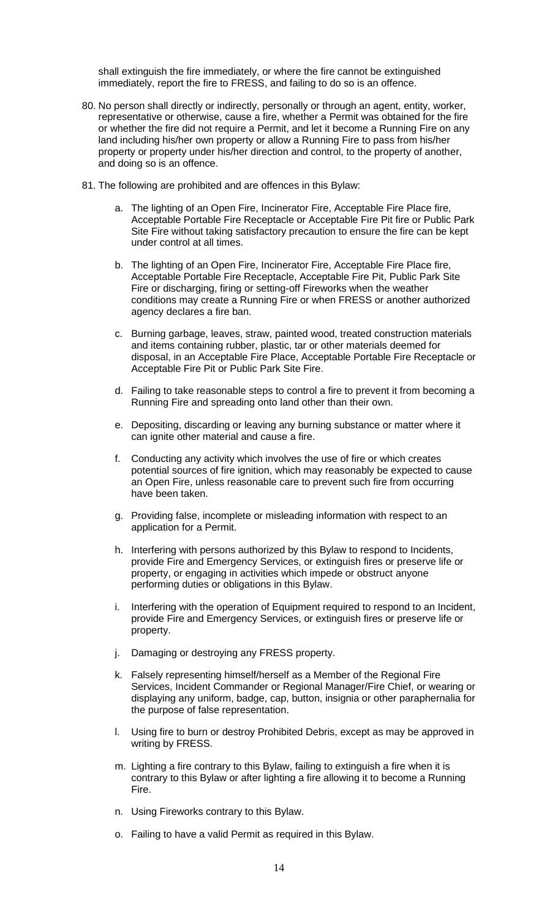shall extinguish the fire immediately, or where the fire cannot be extinguished immediately, report the fire to FRESS, and failing to do so is an offence.

- 80. No person shall directly or indirectly, personally or through an agent, entity, worker, representative or otherwise, cause a fire, whether a Permit was obtained for the fire or whether the fire did not require a Permit, and let it become a Running Fire on any land including his/her own property or allow a Running Fire to pass from his/her property or property under his/her direction and control, to the property of another, and doing so is an offence.
- 81. The following are prohibited and are offences in this Bylaw:
	- a. The lighting of an Open Fire, Incinerator Fire, Acceptable Fire Place fire, Acceptable Portable Fire Receptacle or Acceptable Fire Pit fire or Public Park Site Fire without taking satisfactory precaution to ensure the fire can be kept under control at all times.
	- b. The lighting of an Open Fire, Incinerator Fire, Acceptable Fire Place fire, Acceptable Portable Fire Receptacle, Acceptable Fire Pit, Public Park Site Fire or discharging, firing or setting-off Fireworks when the weather conditions may create a Running Fire or when FRESS or another authorized agency declares a fire ban.
	- c. Burning garbage, leaves, straw, painted wood, treated construction materials and items containing rubber, plastic, tar or other materials deemed for disposal, in an Acceptable Fire Place, Acceptable Portable Fire Receptacle or Acceptable Fire Pit or Public Park Site Fire.
	- d. Failing to take reasonable steps to control a fire to prevent it from becoming a Running Fire and spreading onto land other than their own.
	- e. Depositing, discarding or leaving any burning substance or matter where it can ignite other material and cause a fire.
	- f. Conducting any activity which involves the use of fire or which creates potential sources of fire ignition, which may reasonably be expected to cause an Open Fire, unless reasonable care to prevent such fire from occurring have been taken.
	- g. Providing false, incomplete or misleading information with respect to an application for a Permit.
	- h. Interfering with persons authorized by this Bylaw to respond to Incidents, provide Fire and Emergency Services, or extinguish fires or preserve life or property, or engaging in activities which impede or obstruct anyone performing duties or obligations in this Bylaw.
	- i. Interfering with the operation of Equipment required to respond to an Incident, provide Fire and Emergency Services, or extinguish fires or preserve life or property.
	- j. Damaging or destroying any FRESS property.
	- k. Falsely representing himself/herself as a Member of the Regional Fire Services, Incident Commander or Regional Manager/Fire Chief, or wearing or displaying any uniform, badge, cap, button, insignia or other paraphernalia for the purpose of false representation.
	- l. Using fire to burn or destroy Prohibited Debris, except as may be approved in writing by FRESS.
	- m. Lighting a fire contrary to this Bylaw, failing to extinguish a fire when it is contrary to this Bylaw or after lighting a fire allowing it to become a Running Fire.
	- n. Using Fireworks contrary to this Bylaw.
	- o. Failing to have a valid Permit as required in this Bylaw.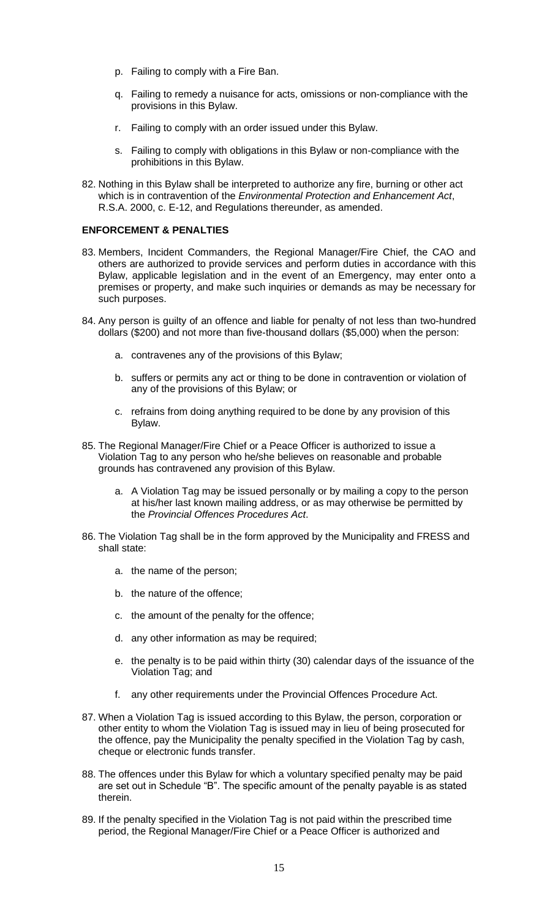- p. Failing to comply with a Fire Ban.
- q. Failing to remedy a nuisance for acts, omissions or non-compliance with the provisions in this Bylaw.
- r. Failing to comply with an order issued under this Bylaw.
- s. Failing to comply with obligations in this Bylaw or non-compliance with the prohibitions in this Bylaw.
- 82. Nothing in this Bylaw shall be interpreted to authorize any fire, burning or other act which is in contravention of the *Environmental Protection and Enhancement Act*, R.S.A. 2000, c. E-12, and Regulations thereunder, as amended.

### **ENFORCEMENT & PENALTIES**

- 83. Members, Incident Commanders, the Regional Manager/Fire Chief, the CAO and others are authorized to provide services and perform duties in accordance with this Bylaw, applicable legislation and in the event of an Emergency, may enter onto a premises or property, and make such inquiries or demands as may be necessary for such purposes.
- 84. Any person is guilty of an offence and liable for penalty of not less than two-hundred dollars (\$200) and not more than five-thousand dollars (\$5,000) when the person:
	- a. contravenes any of the provisions of this Bylaw;
	- b. suffers or permits any act or thing to be done in contravention or violation of any of the provisions of this Bylaw; or
	- c. refrains from doing anything required to be done by any provision of this Bylaw.
- 85. The Regional Manager/Fire Chief or a Peace Officer is authorized to issue a Violation Tag to any person who he/she believes on reasonable and probable grounds has contravened any provision of this Bylaw.
	- a. A Violation Tag may be issued personally or by mailing a copy to the person at his/her last known mailing address, or as may otherwise be permitted by the *Provincial Offences Procedures Act*.
- 86. The Violation Tag shall be in the form approved by the Municipality and FRESS and shall state:
	- a. the name of the person;
	- b. the nature of the offence;
	- c. the amount of the penalty for the offence;
	- d. any other information as may be required;
	- e. the penalty is to be paid within thirty (30) calendar days of the issuance of the Violation Tag; and
	- f. any other requirements under the Provincial Offences Procedure Act.
- 87. When a Violation Tag is issued according to this Bylaw, the person, corporation or other entity to whom the Violation Tag is issued may in lieu of being prosecuted for the offence, pay the Municipality the penalty specified in the Violation Tag by cash, cheque or electronic funds transfer.
- 88. The offences under this Bylaw for which a voluntary specified penalty may be paid are set out in Schedule "B". The specific amount of the penalty payable is as stated therein.
- 89. If the penalty specified in the Violation Tag is not paid within the prescribed time period, the Regional Manager/Fire Chief or a Peace Officer is authorized and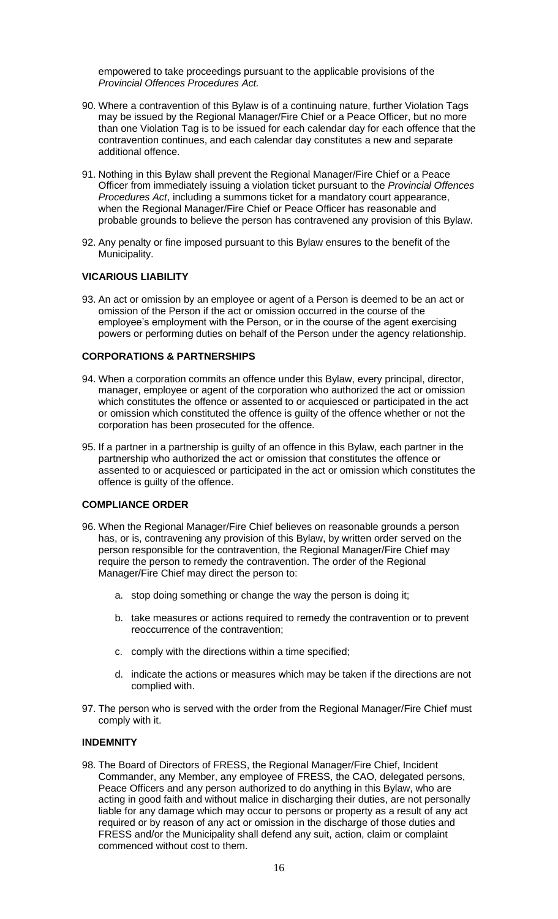empowered to take proceedings pursuant to the applicable provisions of the *Provincial Offences Procedures Act.*

- 90. Where a contravention of this Bylaw is of a continuing nature, further Violation Tags may be issued by the Regional Manager/Fire Chief or a Peace Officer, but no more than one Violation Tag is to be issued for each calendar day for each offence that the contravention continues, and each calendar day constitutes a new and separate additional offence.
- 91. Nothing in this Bylaw shall prevent the Regional Manager/Fire Chief or a Peace Officer from immediately issuing a violation ticket pursuant to the *Provincial Offences Procedures Act*, including a summons ticket for a mandatory court appearance, when the Regional Manager/Fire Chief or Peace Officer has reasonable and probable grounds to believe the person has contravened any provision of this Bylaw.
- 92. Any penalty or fine imposed pursuant to this Bylaw ensures to the benefit of the Municipality.

### **VICARIOUS LIABILITY**

93. An act or omission by an employee or agent of a Person is deemed to be an act or omission of the Person if the act or omission occurred in the course of the employee's employment with the Person, or in the course of the agent exercising powers or performing duties on behalf of the Person under the agency relationship.

#### **CORPORATIONS & PARTNERSHIPS**

- 94. When a corporation commits an offence under this Bylaw, every principal, director, manager, employee or agent of the corporation who authorized the act or omission which constitutes the offence or assented to or acquiesced or participated in the act or omission which constituted the offence is guilty of the offence whether or not the corporation has been prosecuted for the offence.
- 95. If a partner in a partnership is guilty of an offence in this Bylaw, each partner in the partnership who authorized the act or omission that constitutes the offence or assented to or acquiesced or participated in the act or omission which constitutes the offence is guilty of the offence.

#### **COMPLIANCE ORDER**

- 96. When the Regional Manager/Fire Chief believes on reasonable grounds a person has, or is, contravening any provision of this Bylaw, by written order served on the person responsible for the contravention, the Regional Manager/Fire Chief may require the person to remedy the contravention. The order of the Regional Manager/Fire Chief may direct the person to:
	- a. stop doing something or change the way the person is doing it;
	- b. take measures or actions required to remedy the contravention or to prevent reoccurrence of the contravention;
	- c. comply with the directions within a time specified;
	- d. indicate the actions or measures which may be taken if the directions are not complied with.
- 97. The person who is served with the order from the Regional Manager/Fire Chief must comply with it.

#### **INDEMNITY**

98. The Board of Directors of FRESS, the Regional Manager/Fire Chief, Incident Commander, any Member, any employee of FRESS, the CAO, delegated persons, Peace Officers and any person authorized to do anything in this Bylaw, who are acting in good faith and without malice in discharging their duties, are not personally liable for any damage which may occur to persons or property as a result of any act required or by reason of any act or omission in the discharge of those duties and FRESS and/or the Municipality shall defend any suit, action, claim or complaint commenced without cost to them.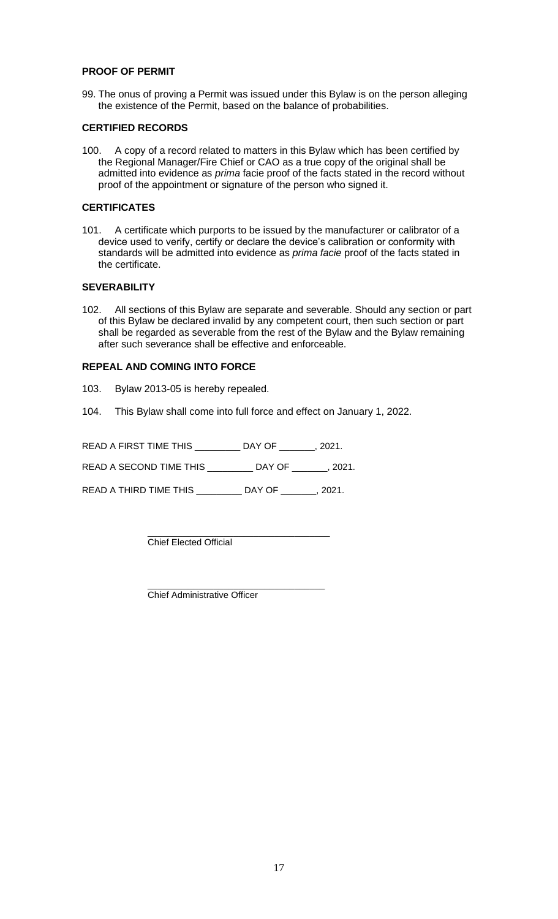### **PROOF OF PERMIT**

99. The onus of proving a Permit was issued under this Bylaw is on the person alleging the existence of the Permit, based on the balance of probabilities.

# **CERTIFIED RECORDS**

100. A copy of a record related to matters in this Bylaw which has been certified by the Regional Manager/Fire Chief or CAO as a true copy of the original shall be admitted into evidence as *prima* facie proof of the facts stated in the record without proof of the appointment or signature of the person who signed it.

# **CERTIFICATES**

101. A certificate which purports to be issued by the manufacturer or calibrator of a device used to verify, certify or declare the device's calibration or conformity with standards will be admitted into evidence as *prima facie* proof of the facts stated in the certificate.

### **SEVERABILITY**

102. All sections of this Bylaw are separate and severable. Should any section or part of this Bylaw be declared invalid by any competent court, then such section or part shall be regarded as severable from the rest of the Bylaw and the Bylaw remaining after such severance shall be effective and enforceable.

### **REPEAL AND COMING INTO FORCE**

- 103. Bylaw 2013-05 is hereby repealed.
- 104. This Bylaw shall come into full force and effect on January 1, 2022.

READ A FIRST TIME THIS \_\_\_\_\_\_\_\_\_ DAY OF \_\_\_\_\_\_\_, 2021. READ A SECOND TIME THIS \_\_\_\_\_\_\_\_\_ DAY OF \_\_\_\_\_\_\_, 2021.

READ A THIRD TIME THIS \_\_\_\_\_\_\_\_\_ DAY OF \_\_\_\_\_\_\_, 2021.

\_\_\_\_\_\_\_\_\_\_\_\_\_\_\_\_\_\_\_\_\_\_\_\_\_\_\_\_\_\_\_\_\_\_\_\_ Chief Elected Official

\_\_\_\_\_\_\_\_\_\_\_\_\_\_\_\_\_\_\_\_\_\_\_\_\_\_\_\_\_\_\_\_\_\_\_ Chief Administrative Officer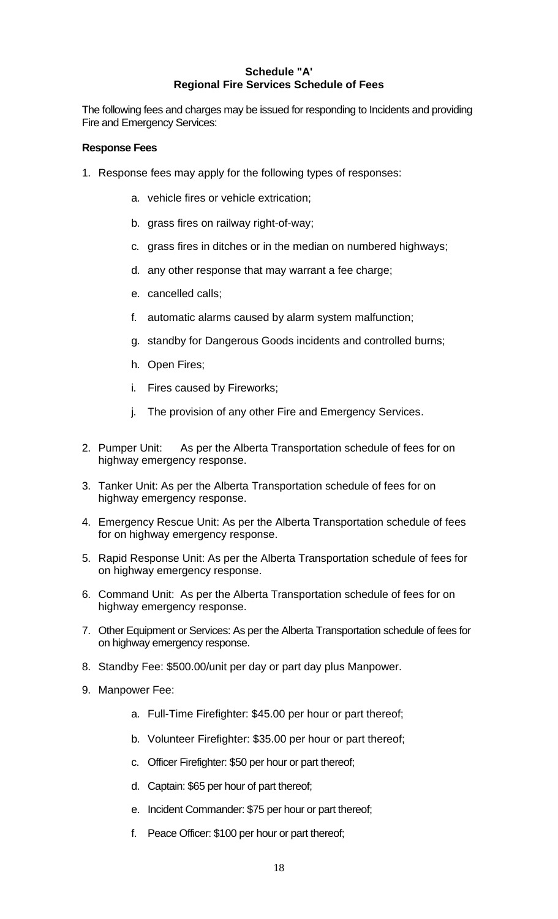# **Schedule "A' Regional Fire Services Schedule of Fees**

The following fees and charges may be issued for responding to Incidents and providing Fire and Emergency Services:

# **Response Fees**

- 1. Response fees may apply for the following types of responses:
	- a. vehicle fires or vehicle extrication;
	- b. grass fires on railway right-of-way;
	- c. grass fires in ditches or in the median on numbered highways;
	- d. any other response that may warrant a fee charge;
	- e. cancelled calls;
	- f. automatic alarms caused by alarm system malfunction;
	- g. standby for Dangerous Goods incidents and controlled burns;
	- h. Open Fires;
	- i. Fires caused by Fireworks;
	- j. The provision of any other Fire and Emergency Services.
- 2. Pumper Unit: As per the Alberta Transportation schedule of fees for on highway emergency response.
- 3. Tanker Unit: As per the Alberta Transportation schedule of fees for on highway emergency response.
- 4. Emergency Rescue Unit: As per the Alberta Transportation schedule of fees for on highway emergency response.
- 5. Rapid Response Unit: As per the Alberta Transportation schedule of fees for on highway emergency response.
- 6. Command Unit: As per the Alberta Transportation schedule of fees for on highway emergency response.
- 7. Other Equipment or Services: As per the Alberta Transportation schedule of fees for on highway emergency response.
- 8. Standby Fee: \$500.00/unit per day or part day plus Manpower.
- 9. Manpower Fee:
	- a. Full-Time Firefighter: \$45.00 per hour or part thereof;
	- b. Volunteer Firefighter: \$35.00 per hour or part thereof;
	- c. Officer Firefighter: \$50 per hour or part thereof;
	- d. Captain: \$65 per hour of part thereof;
	- e. Incident Commander: \$75 per hour or part thereof;
	- f. Peace Officer: \$100 per hour or part thereof;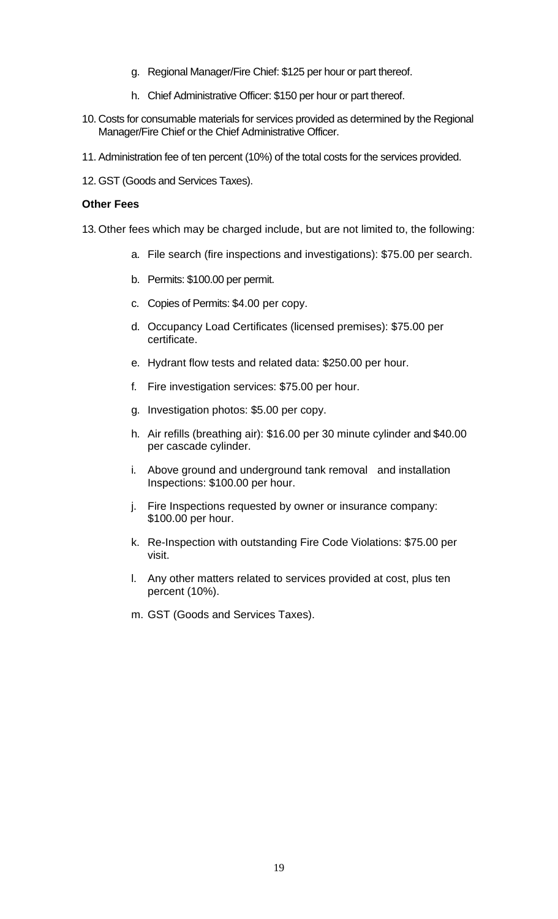- g. Regional Manager/Fire Chief: \$125 per hour or part thereof.
- h. Chief Administrative Officer: \$150 per hour or part thereof.
- 10. Costs for consumable materials for services provided as determined by the Regional Manager/Fire Chief or the Chief Administrative Officer.
- 11. Administration fee of ten percent (10%) of the total costs for the services provided.
- 12. GST (Goods and Services Taxes).

### **Other Fees**

- 13. Other fees which may be charged include, but are not limited to, the following:
	- a. File search (fire inspections and investigations): \$75.00 per search.
	- b. Permits: \$100.00 per permit.
	- c. Copies of Permits: \$4.00 per copy.
	- d. Occupancy Load Certificates (licensed premises): \$75.00 per certificate.
	- e. Hydrant flow tests and related data: \$250.00 per hour.
	- f. Fire investigation services: \$75.00 per hour.
	- g. Investigation photos: \$5.00 per copy.
	- h. Air refills (breathing air): \$16.00 per 30 minute cylinder and \$40.00 per cascade cylinder.
	- i. Above ground and underground tank removal and installation Inspections: \$100.00 per hour.
	- j. Fire Inspections requested by owner or insurance company: \$100.00 per hour.
	- k. Re-Inspection with outstanding Fire Code Violations: \$75.00 per visit.
	- l. Any other matters related to services provided at cost, plus ten percent (10%).
	- m. GST (Goods and Services Taxes).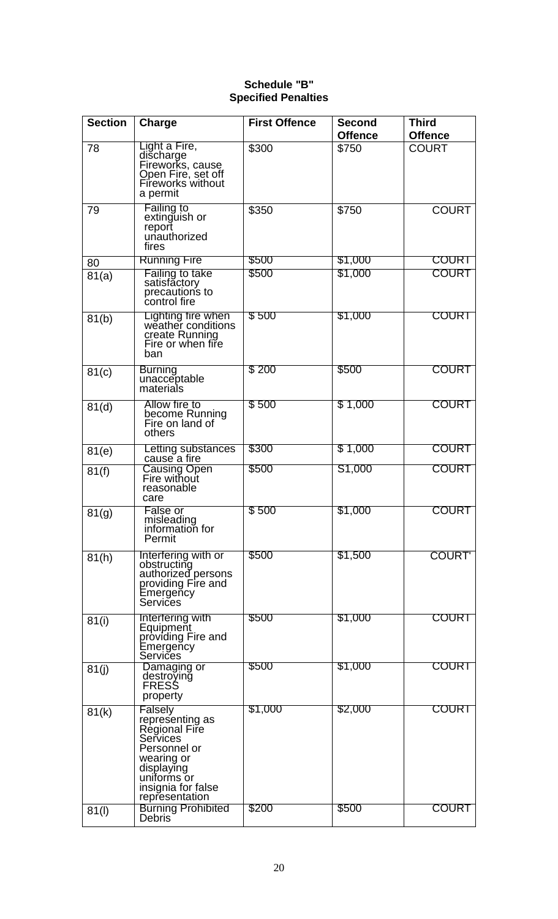# **Schedule "B" Specified Penalties**

| <b>Section</b> | Charge                                                                                                                                                                                  | <b>First Offence</b> | <b>Second</b><br><b>Offence</b> | <b>Third</b><br><b>Offence</b> |
|----------------|-----------------------------------------------------------------------------------------------------------------------------------------------------------------------------------------|----------------------|---------------------------------|--------------------------------|
| 78             | Light a Fire,<br>discharge<br>Fireworks, cause<br>Open Fire, set off<br>Fireworks without<br>a permit                                                                                   | \$300                | \$750                           | <b>COURT</b>                   |
| 79             | <b>Failing to</b><br>extinguish or<br>report<br>unauthorized<br>fires                                                                                                                   | \$350                | \$750                           | <b>COURT</b>                   |
| 80             | <b>Running Fire</b>                                                                                                                                                                     | \$500                | \$1,000                         | <b>COURT</b>                   |
| 81(a)          | Failing to take<br>satisfactory<br>precautions to<br>control fire                                                                                                                       | \$500                | \$1,000                         | <b>COURT</b>                   |
| 81(b)          | Lighting fire when<br>weather conditions<br>create Running<br>Fire or when fire<br>ban                                                                                                  | \$500                | \$1,000                         | <b>COURT</b>                   |
| 81(c)          | <b>Burning</b><br>unacceptable<br>materials                                                                                                                                             | \$200                | \$500                           | <b>COURT</b>                   |
| 81(d)          | Allow fire to<br>become Running<br>Fire on land of<br>others                                                                                                                            | \$500                | \$1,000                         | <b>COURT</b>                   |
| 81(e)          | Letting substances<br>cause a fire                                                                                                                                                      | \$300                | \$1,000                         | <b>COURT</b>                   |
| 81(f)          | Causing Open<br>Fire without<br>reasonable<br>care                                                                                                                                      | \$500                | S1,000                          | <b>COURT</b>                   |
| 81(g)          | False or<br>misleading<br>information for<br>Permit                                                                                                                                     | \$500                | \$1,000                         | <b>COURT</b>                   |
| 81(h)          | Interfering with or<br>obstructing<br>authorized persons<br>providing Fire and<br>Emergeñcy<br>Services                                                                                 | \$500                | \$1,500                         | <b>COURT</b>                   |
| 81(i)          | Interfering with<br>Equipment<br>providing Fire and<br>Emergency<br>Servičes                                                                                                            | \$500                | \$1,000                         | COURT                          |
| 81(j)          | Damaging or<br>destroving<br>FRESS<br>property                                                                                                                                          | \$500                | \$1,000                         | COURT                          |
| 81(k)          | Falsely<br>representing as<br>Regional Fire<br>Services<br>Personnel or<br>wearing or<br>displaying<br>uniforms or<br>insignia for false<br>representation<br><b>Burning Prohibited</b> | \$1,000<br>\$200     | \$2,000<br>\$500                | <b>COURT</b><br><b>COURT</b>   |
| 81(1)          | <b>Debris</b>                                                                                                                                                                           |                      |                                 |                                |